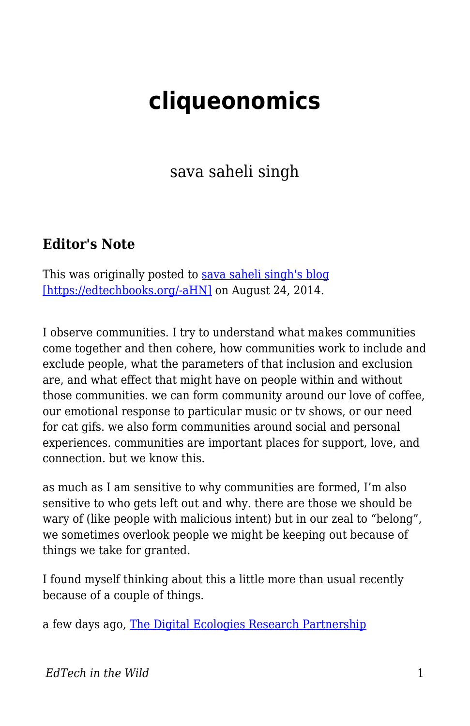# **cliqueonomics**

sava saheli singh

### **Editor's Note**

This was originally posted to [sava saheli singh's blog](https://savasavasava.wordpress.com/2014/08/24/cliqueonomics/) [\[https://edtechbooks.org/-aHN\]](https://savasavasava.wordpress.com/2014/08/24/cliqueonomics/) on August 24, 2014.

I observe communities. I try to understand what makes communities come together and then cohere, how communities work to include and exclude people, what the parameters of that inclusion and exclusion are, and what effect that might have on people within and without those communities. we can form community around our love of coffee, our emotional response to particular music or tv shows, or our need for cat gifs. we also form communities around social and personal experiences. communities are important places for support, love, and connection. but we know this.

as much as I am sensitive to why communities are formed, I'm also sensitive to who gets left out and why. there are those we should be wary of (like people with malicious intent) but in our zeal to "belong", we sometimes overlook people we might be keeping out because of things we take for granted.

I found myself thinking about this a little more than usual recently because of a couple of things.

a few days ago, [The Digital Ecologies Research Partnership](http://www.theguardian.com/technology/2014/aug/18/reddit-imgur-twitch-derp-social-data)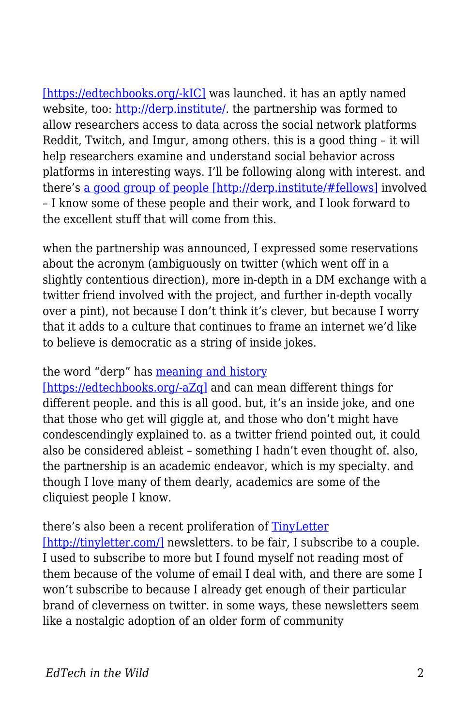[\[https://edtechbooks.org/-kIC\]](http://www.theguardian.com/technology/2014/aug/18/reddit-imgur-twitch-derp-social-data) was launched. it has an aptly named website, too:<http://derp.institute/>. the partnership was formed to allow researchers access to data across the social network platforms Reddit, Twitch, and Imgur, among others. this is a good thing – it will help researchers examine and understand social behavior across platforms in interesting ways. I'll be following along with interest. and there's [a good group of people \[http://derp.institute/#fellows\]](http://derp.institute/#fellows) involved – I know some of these people and their work, and I look forward to the excellent stuff that will come from this.

when the partnership was announced, I expressed some reservations about the acronym (ambiguously on twitter (which went off in a slightly contentious direction), more in-depth in a DM exchange with a twitter friend involved with the project, and further in-depth vocally over a pint), not because I don't think it's clever, but because I worry that it adds to a culture that continues to frame an internet we'd like to believe is democratic as a string of inside jokes.

#### the word "derp" has [meaning and history](http://knowyourmeme.com/memes/derp)

[\[https://edtechbooks.org/-aZq\]](http://knowyourmeme.com/memes/derp) and can mean different things for different people. and this is all good. but, it's an inside joke, and one that those who get will giggle at, and those who don't might have condescendingly explained to. as a twitter friend pointed out, it could also be considered ableist – something I hadn't even thought of. also, the partnership is an academic endeavor, which is my specialty. and though I love many of them dearly, academics are some of the cliquiest people I know.

#### there's also been a recent proliferation of [TinyLetter](http://tinyletter.com/)

[\[http://tinyletter.com/\]](http://tinyletter.com/) newsletters. to be fair, I subscribe to a couple. I used to subscribe to more but I found myself not reading most of them because of the volume of email I deal with, and there are some I won't subscribe to because I already get enough of their particular brand of cleverness on twitter. in some ways, these newsletters seem like a nostalgic adoption of an older form of community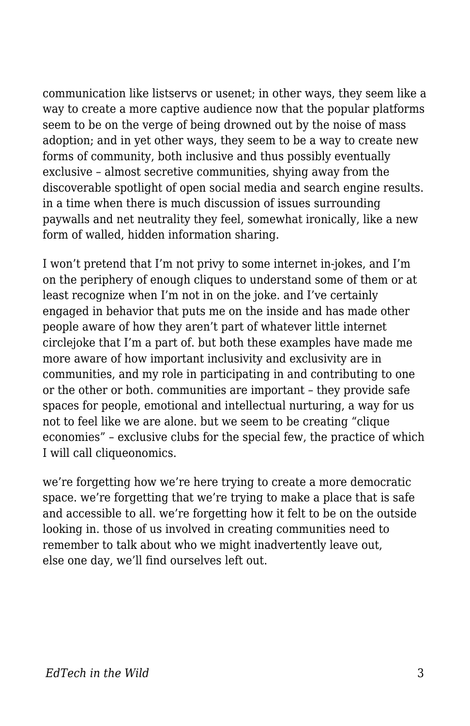communication like listservs or usenet; in other ways, they seem like a way to create a more captive audience now that the popular platforms seem to be on the verge of being drowned out by the noise of mass adoption; and in yet other ways, they seem to be a way to create new forms of community, both inclusive and thus possibly eventually exclusive – almost secretive communities, shying away from the discoverable spotlight of open social media and search engine results. in a time when there is much discussion of issues surrounding paywalls and net neutrality they feel, somewhat ironically, like a new form of walled, hidden information sharing.

I won't pretend that I'm not privy to some internet in-jokes, and I'm on the periphery of enough cliques to understand some of them or at least recognize when I'm not in on the joke. and I've certainly engaged in behavior that puts me on the inside and has made other people aware of how they aren't part of whatever little internet circlejoke that I'm a part of. but both these examples have made me more aware of how important inclusivity and exclusivity are in communities, and my role in participating in and contributing to one or the other or both. communities are important – they provide safe spaces for people, emotional and intellectual nurturing, a way for us not to feel like we are alone. but we seem to be creating "clique economies" – exclusive clubs for the special few, the practice of which I will call cliqueonomics.

we're forgetting how we're here trying to create a more democratic space. we're forgetting that we're trying to make a place that is safe and accessible to all. we're forgetting how it felt to be on the outside looking in. those of us involved in creating communities need to remember to talk about who we might inadvertently leave out, else one day, we'll find ourselves left out.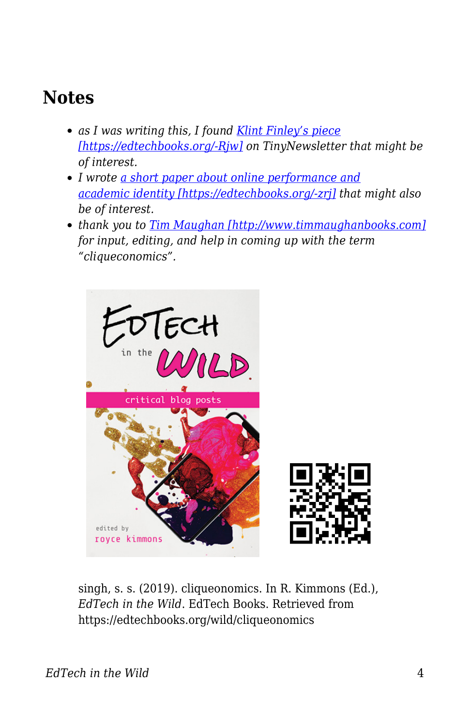## **Notes**

- *as I was writing this, I found [Klint Finley's piece](http://techcrunch.com/2014/08/23/why-everyone-is-obsessed-with-e-mail-newsletters-right-now/) [\[https://edtechbooks.org/-Rjw\]](http://techcrunch.com/2014/08/23/why-everyone-is-obsessed-with-e-mail-newsletters-right-now/) on TinyNewsletter that might be of interest.*
- *I wrote [a short paper about online performance and](http://spir.aoir.org/index.php/spir/article/view/835/pdf) [academic identity \[https://edtechbooks.org/-zrj\]](http://spir.aoir.org/index.php/spir/article/view/835/pdf) that might also be of interest.*
- *thank you to [Tim Maughan \[http://www.timmaughanbooks.com\]](http://www.timmaughanbooks.com) for input, editing, and help in coming up with the term "cliqueconomics".*



singh, s. s. (2019). cliqueonomics. In R. Kimmons (Ed.), *EdTech in the Wild*. EdTech Books. Retrieved from https://edtechbooks.org/wild/cliqueonomics